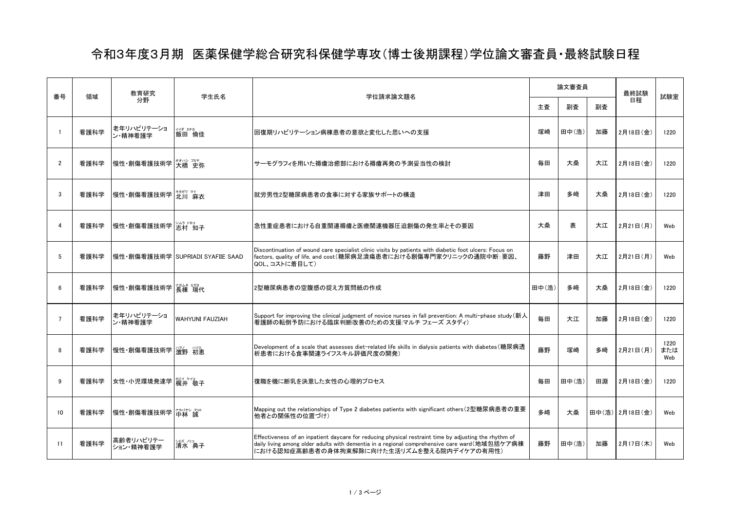## 令和3年度3月期 医薬保健学総合研究科保健学専攻(博士後期課程)学位論文審査員・最終試験日程

| 番号             | 領域   | 教育研究<br>分野             | 学生氏名                             | 学位請求論文題名                                                                                                                                                                                                                                              | 論文審査員 |       | 最終試験 | 試験室              |                    |
|----------------|------|------------------------|----------------------------------|-------------------------------------------------------------------------------------------------------------------------------------------------------------------------------------------------------------------------------------------------------|-------|-------|------|------------------|--------------------|
|                |      |                        |                                  |                                                                                                                                                                                                                                                       | 主査    | 副査    | 副査   | 日程               |                    |
|                | 看護科学 | 老年リハビリテーショ<br>ン・精神看護学  | ∰ ≅ <sup>≢力</sup><br>飯田 倫佳       | 回復期リハビリテーション病棟患者の意欲と変化した思いへの支援                                                                                                                                                                                                                        | 塚崎    | 田中(浩) | 加藤   | 2月18日(金)         | 1220               |
| $\overline{2}$ | 看護科学 | 慢性·創傷看護技術学 技橋 史弥       |                                  | サーモグラフィを用いた褥瘡治癒部における褥瘡再発の予測妥当性の検討                                                                                                                                                                                                                     | 毎田    | 大桑    | 大江   | 2月18日(金)         | 1220               |
| 3              | 看護科学 | 慢性·創傷看護技術学 光川 麻衣       |                                  | 就労男性2型糖尿病患者の食事に対する家族サポートの構造                                                                                                                                                                                                                           | 津田    | 多崎    | 大桑   | 2月18日(金)         | 1220               |
| 4              | 看護科学 | 慢性·創傷看護技術学  治ネ トモョ 开   |                                  | 急性重症患者における自重関連褥瘡と医療関連機器圧迫創傷の発生率とその要因                                                                                                                                                                                                                  | 大桑    | 表     | 大江   | 2月21日(月)         | Web                |
| 5              | 看護科学 |                        | 慢性・創傷看護技術学 SUPRIADI SYAFIIE SAAD | Discontinuation of wound care specialist clinic visits by patients with diabetic foot ulcers: Focus on<br> factors, quality of life, and cost(糖尿病足潰瘍患者における創傷専門家クリニックの通院中断:要因、<br>QOL、コストに着目して)                                                        | 藤野    | 津田    | 大江   | 2月21日(月)         | Web                |
| 6              | 看護科学 | 慢性·創傷看護技術学 接棟 瑞代       |                                  | 2型糖尿病患者の空腹感の捉え方質問紙の作成                                                                                                                                                                                                                                 | 田中(浩) | 多崎    | 大桑   | 2月18日(金)         | 1220               |
| $\overline{7}$ | 看護科学 | 老年リハビリテーショ<br>ン・精神看護学  | <b>WAHYUNI FAUZIAH</b>           | Support for improving the clinical judgment of novice nurses in fall prevention: A multi-phase study (新人<br>看護師の転倒予防における臨床判断改善のための支援マルチ フェーズ スタディ)                                                                                                    | 毎田    | 大江    | 加藤   | 2月18日(金)         | 1220               |
| 8              | 看護科学 | 慢性·創傷看護技術学 溜野 初恵       |                                  | Development of a scale that assesses diet-related life skills in dialysis patients with diabetes (糖尿病透<br>析患者における食事関連ライフスキル評価尺度の開発)                                                                                                                   | 藤野    | 塚崎    | 多﨑   | 2月21日(月)         | 1220<br>または<br>Web |
| 9              | 看護科学 | 女性·小児環境発達学 梶井 敬子       |                                  | 復職を機に断乳を決意した女性の心理的プロセス                                                                                                                                                                                                                                | 毎田    | 田中(浩) | 田淵   | 2月18日(金)         | 1220               |
| 10             | 看護科学 | 慢性·創傷看護技術学 竹な マ        |                                  | Mapping out the relationships of Type 2 diabetes patients with significant others(2型糖尿病患者の重要<br> 他者との関係性の位置づけ)                                                                                                                                        | 多崎    | 大桑    |      | 田中(浩)   2月18日(金) | Web                |
| 11             | 看護科学 | 高齢者リハビリテー<br>ション・精神看護学 | シミズ ノリコ<br>清水 典子                 | Effectiveness of an inpatient daycare for reducing physical restraint time by adjusting the rhythm of<br> daily living among older adults with dementia in a regional comprehensive care ward(地域包括ケア病棟<br> における認知症高齢患者の身体拘束解除に向けた生活リズムを整える院内デイケアの有用性) | 藤野    | 田中(浩) | 加藤   | 2月17日(木)         | Web                |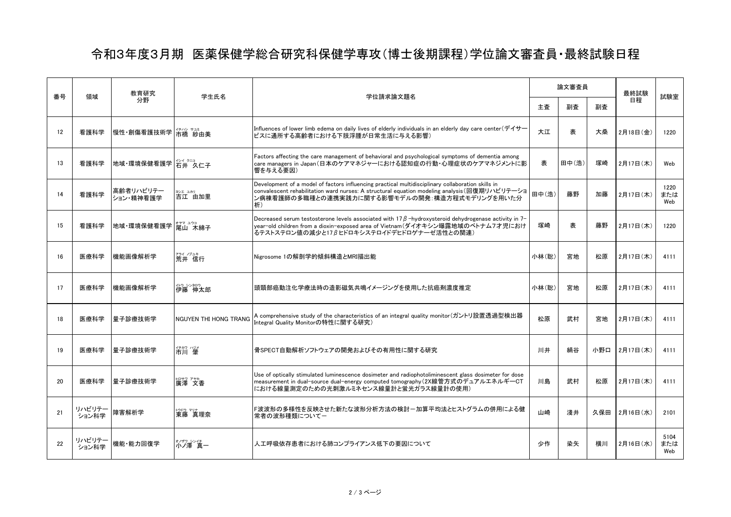## 令和3年度3月期 医薬保健学総合研究科保健学専攻(博士後期課程)学位論文審査員・最終試験日程

| 番号 | 領域              | 教育研究<br>分野             | 学生氏名                         | 学位請求論文題名                                                                                                                                                                                                                                                  | 論文審査員 |       | 最終試験 | 試験室       |                    |
|----|-----------------|------------------------|------------------------------|-----------------------------------------------------------------------------------------------------------------------------------------------------------------------------------------------------------------------------------------------------------|-------|-------|------|-----------|--------------------|
|    |                 |                        |                              |                                                                                                                                                                                                                                                           | 主査    | 副査    | 副査   | 日程        |                    |
| 12 | 看護科学            | 慢性•創傷看護技術学 市橋 紗由美      |                              | Influences of lower limb edema on daily lives of elderly individuals in an elderly day care center (デイサー<br>ビスに通所する高齢者における下肢浮腫が日常生活に与える影響)                                                                                                                | 大江    | 表     | 大桑   | 2月18日(金)  | 1220               |
| 13 | 看護科学            | 地域·環境保健看護学 名# 久仁子      |                              | Factors affecting the care management of behavioral and psychological symptoms of dementia among<br>care managers in Japan(日本のケアマネジャーにおける認知症の行動・心理症状のケアマネジメントに影<br>響を与える要因)                                                                               | 表     | 田中(浩) | 塚崎   | 2月17日 (木) | Web                |
| 14 | 看護科学            | 高齢者リハビリテー<br>ション・精神看護学 | ヨシエ ユカリ<br>吉江 由加里            | Development of a model of factors influencing practical multidisciplinary collaboration skills in<br>convalescent rehabilitation ward nurses: A structural equation modeling analysis (回復期リハビリテーショ<br>ン病棟看護師の多職種との連携実践力に関する影響モデルの開発:構造方程式モデリングを用いた分<br>析) | 田中(浩) | 藤野    | 加藤   | 2月17日(木)  | 1220<br>または<br>Web |
| 15 | 看護科学            | 地域·環境保健看護学 军山 木綿子      |                              | Decreased serum testosterone levels associated with 17 $\beta$ -hydroxysteroid dehydrogenase activity in 7-<br>year-old children from a dioxin-exposed area of Vietnam(ダイオキシン曝露地域のベトナム7才児におけ<br>るテストステロン値の減少と17βヒドロキシステロイドデヒドロゲナーゼ活性との関連)                 | 塚崎    | 表     | 藤野   | 2月17日(木)  | 1220               |
| 16 | 医療科学            | 機能画像解析学                | ☆<br>荒井 信行                   | Nigrosome 1の解剖学的傾斜構造とMRI描出能                                                                                                                                                                                                                               | 小林(聡) | 宮地    | 松原   | 2月17日(木)  | 4111               |
| 17 | 医療科学            | 機能画像解析学                | か ショウ<br>伊藤 伸太郎              | 頭頸部癌動注化学療法時の造影磁気共鳴イメ―ジングを使用した抗癌剤濃度推定                                                                                                                                                                                                                      | 小林(聡) | 宮地    | 松原   | 2月17日(木)  | 4111               |
| 18 | 医療科学            | 量子診療技術学                | <b>NGUYEN THI HONG TRANG</b> | A comprehensive study of the characteristics of an integral quality monitor(ガントリ設置透過型検出器<br>Integral Quality Monitorの特性に関する研究)                                                                                                                            | 松原    | 武村    | 宮地   | 2月17日(木)  | 4111               |
| 19 | 医療科学            | 暈子診療技術学                | 伊加 心<br>市川 肇                 | 骨SPECT自動解析ソフトウェアの開発およびその有用性に関する研究                                                                                                                                                                                                                         | 川井    | 絹谷    | 小野口  | 2月17日 (木) | 4111               |
| 20 | 医療科学            | 量子診療技術学                | <sub>印物 7秒</sub><br>廣澤 文香    | Use of optically stimulated luminescence dosimeter and radiophotoliminescent glass dosimeter for dose<br>measurement in dual-source dual-energy computed tomography(2X線管方式のデュアルエネルギーCT<br>における線暈測定のための光刺激ルミネセンス線暈計と蛍光ガラス線暈計の使用)                           | 川島    | 武村    | 松原   | 2月17日 (木) | 4111               |
| 21 | リハビリテー<br>ション科学 | 障害解析学                  | ゆゆ マリナ<br><b>東藤 真理奈</b>      | F波波形の多様性を反映させた新たな波形分析方法の検討-加算平均法とヒストグラムの併用による健<br>常者の波形種類についてー                                                                                                                                                                                            | 山崎    | 淺井    | 久保田  | 2月16日 (水) | 2101               |
| 22 | リハビリテー<br>ション科学 | 機能·能力回復学               | */サワ シン仔<br><b>小ノ</b> 澤 真一   | 人工呼吸依存患者における肺コンプライアンス低下の要因について                                                                                                                                                                                                                            | 少作    | 染矢    | 横川   | 2月16日(水)  | 5104<br>または<br>Web |